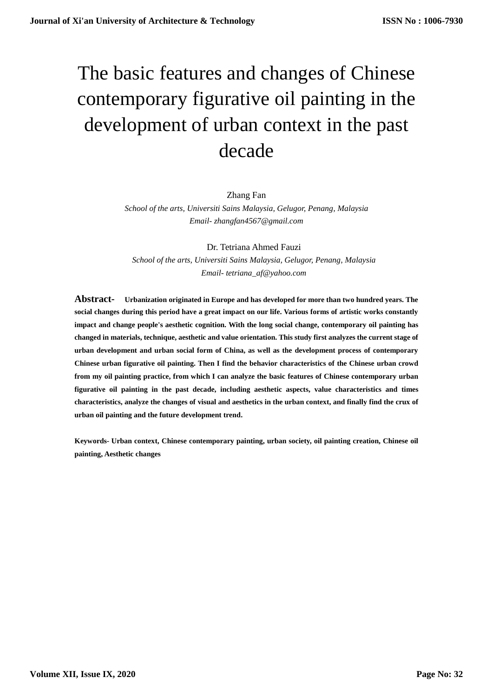# The basic features and changes of Chinese contemporary figurative oil painting in the development of urban context in the past decade

# Zhang Fan

*School of the arts, Universiti Sains Malaysia, Gelugor, Penang, Malaysia Email- zhangfan4567@gmail.com*

Dr. Tetriana Ahmed Fauzi *School of the arts, Universiti Sains Malaysia, Gelugor, Penang, Malaysia Email- tetriana\_af@yahoo.com*

**Abstract- Urbanization originated in Europe and has developed for more than two hundred years. The social changes during this period have a great impact on our life. Various forms of artistic works constantly impact and change people's aesthetic cognition. With the long social change, contemporary oil painting has changed in materials, technique, aesthetic and value orientation. This study first analyzes the current stage of urban development and urban social form of China, as well as the development process of contemporary Chinese urban figurative oil painting. Then I find the behavior characteristics of the Chinese urban crowd from my oil painting practice, from which I can analyze the basic features of Chinese contemporary urban figurative oil painting in the past decade, including aesthetic aspects, value characteristics and times characteristics, analyze the changes of visual and aesthetics in the urban context, and finally find the crux of urban oil painting and the future development trend.**

**Keywords- Urban context, Chinese contemporary painting, urban society, oil painting creation, Chinese oil painting, Aesthetic changes**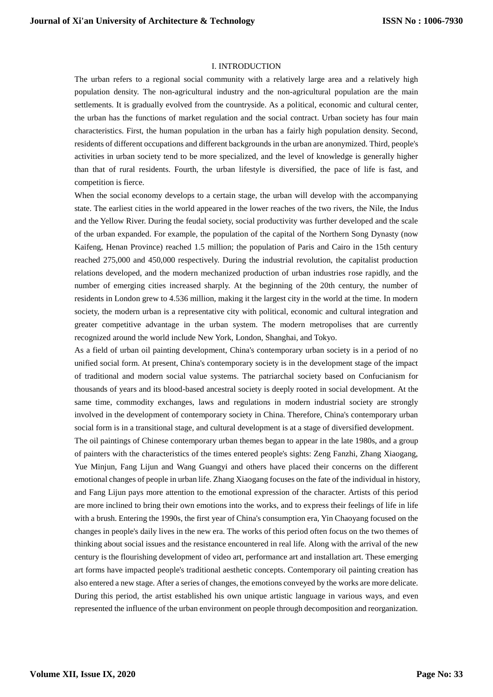### I. INTRODUCTION

The urban refers to a regional social community with a relatively large area and a relatively high population density. The non-agricultural industry and the non-agricultural population are the main settlements. It is gradually evolved from the countryside. As a political, economic and cultural center, the urban has the functions of market regulation and the social contract. Urban society has four main characteristics. First, the human population in the urban has a fairly high population density. Second, residents of different occupations and different backgrounds in the urban are anonymized. Third, people's activities in urban society tend to be more specialized, and the level of knowledge is generally higher than that of rural residents. Fourth, the urban lifestyle is diversified, the pace of life is fast, and competition is fierce.

When the social economy develops to a certain stage, the urban will develop with the accompanying state. The earliest cities in the world appeared in the lower reaches of the two rivers, the Nile, the Indus and the Yellow River. During the feudal society, social productivity was further developed and the scale of the urban expanded. For example, the population of the capital of the Northern Song Dynasty (now Kaifeng, Henan Province) reached 1.5 million; the population of Paris and Cairo in the 15th century reached 275,000 and 450,000 respectively. During the industrial revolution, the capitalist production relations developed, and the modern mechanized production of urban industries rose rapidly, and the number of emerging cities increased sharply. At the beginning of the 20th century, the number of residents in London grew to 4.536 million, making it the largest city in the world at the time. In modern society, the modern urban is a representative city with political, economic and cultural integration and greater competitive advantage in the urban system. The modern metropolises that are currently recognized around the world include New York, London, Shanghai, and Tokyo.

As a field of urban oil painting development, China's contemporary urban society is in a period of no unified social form. At present, China's contemporary society is in the development stage of the impact of traditional and modern social value systems. The patriarchal society based on Confucianism for thousands of years and its blood-based ancestral society is deeply rooted in social development. At the same time, commodity exchanges, laws and regulations in modern industrial society are strongly involved in the development of contemporary society in China. Therefore, China's contemporary urban social form is in a transitional stage, and cultural development is at a stage of diversified development.

The oil paintings of Chinese contemporary urban themes began to appear in the late 1980s, and a group of painters with the characteristics of the times entered people's sights: Zeng Fanzhi, Zhang Xiaogang, Yue Minjun, Fang Lijun and Wang Guangyi and others have placed their concerns on the different emotional changes of people in urban life. Zhang Xiaogang focuses on the fate of the individual in history, and Fang Lijun pays more attention to the emotional expression of the character. Artists of this period are more inclined to bring their own emotions into the works, and to express their feelings of life in life with a brush. Entering the 1990s, the first year of China's consumption era, Yin Chaoyang focused on the changes in people's daily lives in the new era. The works of this period often focus on the two themes of thinking about social issues and the resistance encountered in real life. Along with the arrival of the new century is the flourishing development of video art, performance art and installation art. These emerging art forms have impacted people's traditional aesthetic concepts. Contemporary oil painting creation has also entered a new stage. After a series of changes, the emotions conveyed by the works are more delicate. During this period, the artist established his own unique artistic language in various ways, and even represented the influence of the urban environment on people through decomposition and reorganization.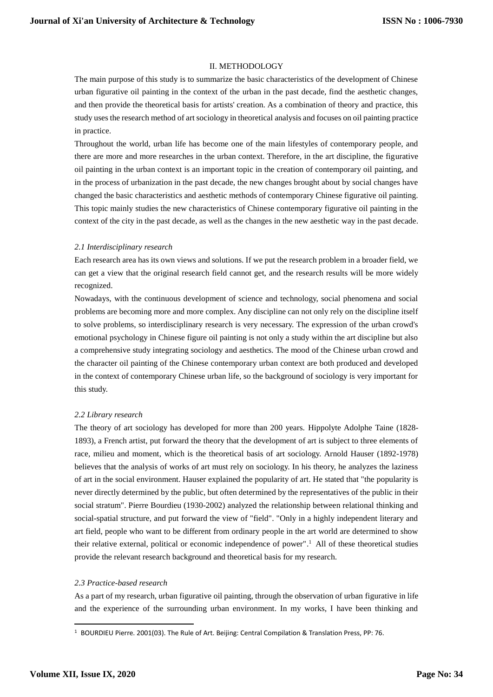## II. METHODOLOGY

The main purpose of this study is to summarize the basic characteristics of the development of Chinese urban figurative oil painting in the context of the urban in the past decade, find the aesthetic changes, and then provide the theoretical basis for artists' creation. As a combination of theory and practice, this study uses the research method of art sociology in theoretical analysis and focuses on oil painting practice in practice.

Throughout the world, urban life has become one of the main lifestyles of contemporary people, and there are more and more researches in the urban context. Therefore, in the art discipline, the figurative oil painting in the urban context is an important topic in the creation of contemporary oil painting, and in the process of urbanization in the past decade, the new changes brought about by social changes have changed the basic characteristics and aesthetic methods of contemporary Chinese figurative oil painting. This topic mainly studies the new characteristics of Chinese contemporary figurative oil painting in the context of the city in the past decade, as well as the changes in the new aesthetic way in the past decade.

### *2.1 Interdisciplinary research*

Each research area has its own views and solutions. If we put the research problem in a broader field, we can get a view that the original research field cannot get, and the research results will be more widely recognized.

Nowadays, with the continuous development of science and technology, social phenomena and social problems are becoming more and more complex. Any discipline can not only rely on the discipline itself to solve problems, so interdisciplinary research is very necessary. The expression of the urban crowd's emotional psychology in Chinese figure oil painting is not only a study within the art discipline but also a comprehensive study integrating sociology and aesthetics. The mood of the Chinese urban crowd and the character oil painting of the Chinese contemporary urban context are both produced and developed in the context of contemporary Chinese urban life, so the background of sociology is very important for this study.

# *2.2 Library research*

The theory of art sociology has developed for more than 200 years. Hippolyte Adolphe Taine (1828- 1893), a French artist, put forward the theory that the development of art is subject to three elements of race, milieu and moment, which is the theoretical basis of art sociology. Arnold Hauser (1892-1978) believes that the analysis of works of art must rely on sociology. In his theory, he analyzes the laziness of art in the social environment. Hauser explained the popularity of art. He stated that "the popularity is never directly determined by the public, but often determined by the representatives of the public in their social stratum". Pierre Bourdieu (1930-2002) analyzed the relationship between relational thinking and social-spatial structure, and put forward the view of "field". "Only in a highly independent literary and art field, people who want to be different from ordinary people in the art world are determined to show their relative external, political or economic independence of power". <sup>1</sup> All of these theoretical studies provide the relevant research background and theoretical basis for my research.

# *2.3 Practice-based research*

As a part of my research, urban figurative oil painting, through the observation of urban figurative in life and the experience of the surrounding urban environment. In my works, I have been thinking and

-

<sup>1</sup> BOURDIEU Pierre. 2001(03). The Rule of Art. Beijing: Central Compilation & Translation Press, PP: 76.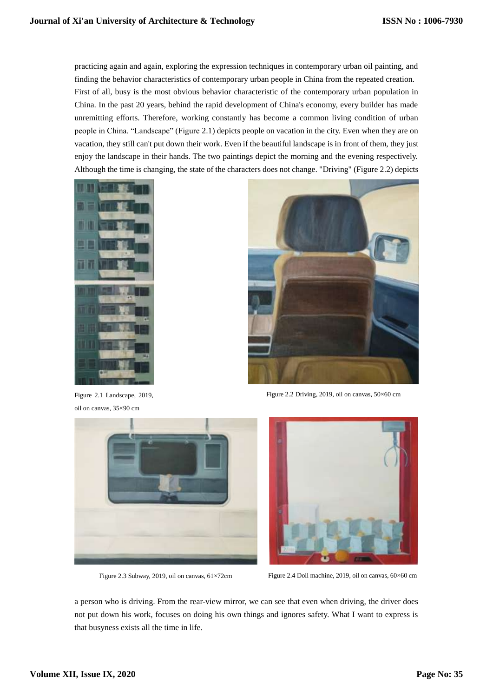practicing again and again, exploring the expression techniques in contemporary urban oil painting, and finding the behavior characteristics of contemporary urban people in China from the repeated creation. First of all, busy is the most obvious behavior characteristic of the contemporary urban population in China. In the past 20 years, behind the rapid development of China's economy, every builder has made unremitting efforts. Therefore, working constantly has become a common living condition of urban people in China. "Landscape" (Figure 2.1) depicts people on vacation in the city. Even when they are on vacation, they still can't put down their work. Even if the beautiful landscape is in front of them, they just enjoy the landscape in their hands. The two paintings depict the morning and the evening respectively. Although the time is changing, the state of the characters does not change. "Driving" (Figure 2.2) depicts



Figure 2.1 Landscape, 2019, oil on canvas, 35×90 cm



Figure 2.2 Driving, 2019, oil on canvas, 50×60 cm





Figure 2.3 Subway, 2019, oil on canvas,  $61\times72$ cm Figure 2.4 Doll machine, 2019, oil on canvas,  $60\times60$  cm

a person who is driving. From the rear-view mirror, we can see that even when driving, the driver does not put down his work, focuses on doing his own things and ignores safety. What I want to express is that busyness exists all the time in life.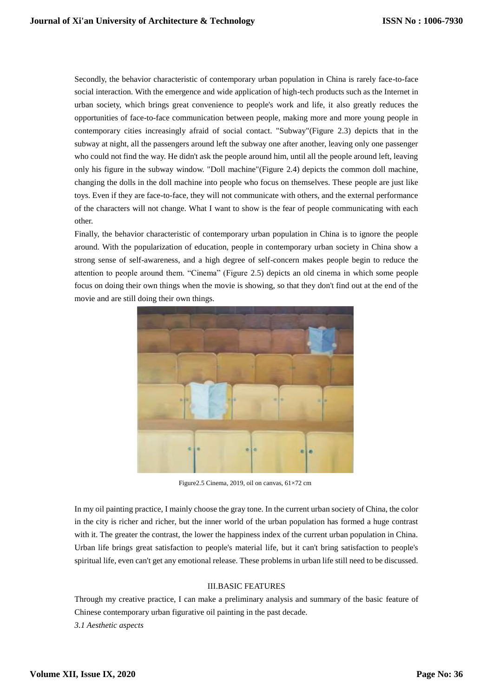Secondly, the behavior characteristic of contemporary urban population in China is rarely face-to-face social interaction. With the emergence and wide application of high-tech products such as the Internet in urban society, which brings great convenience to people's work and life, it also greatly reduces the opportunities of face-to-face communication between people, making more and more young people in contemporary cities increasingly afraid of social contact. "Subway"(Figure 2.3) depicts that in the subway at night, all the passengers around left the subway one after another, leaving only one passenger who could not find the way. He didn't ask the people around him, until all the people around left, leaving only his figure in the subway window. "Doll machine"(Figure 2.4) depicts the common doll machine, changing the dolls in the doll machine into people who focus on themselves. These people are just like toys. Even if they are face-to-face, they will not communicate with others, and the external performance of the characters will not change. What I want to show is the fear of people communicating with each other.

Finally, the behavior characteristic of contemporary urban population in China is to ignore the people around. With the popularization of education, people in contemporary urban society in China show a strong sense of self-awareness, and a high degree of self-concern makes people begin to reduce the attention to people around them. "Cinema" (Figure 2.5) depicts an old cinema in which some people focus on doing their own things when the movie is showing, so that they don't find out at the end of the movie and are still doing their own things.



Figure2.5 Cinema, 2019, oil on canvas, 61×72 cm

In my oil painting practice, I mainly choose the gray tone. In the current urban society of China, the color in the city is richer and richer, but the inner world of the urban population has formed a huge contrast with it. The greater the contrast, the lower the happiness index of the current urban population in China. Urban life brings great satisfaction to people's material life, but it can't bring satisfaction to people's spiritual life, even can't get any emotional release. These problems in urban life still need to be discussed.

# III.BASIC FEATURES

Through my creative practice, I can make a preliminary analysis and summary of the basic feature of Chinese contemporary urban figurative oil painting in the past decade. *3.1 Aesthetic aspects*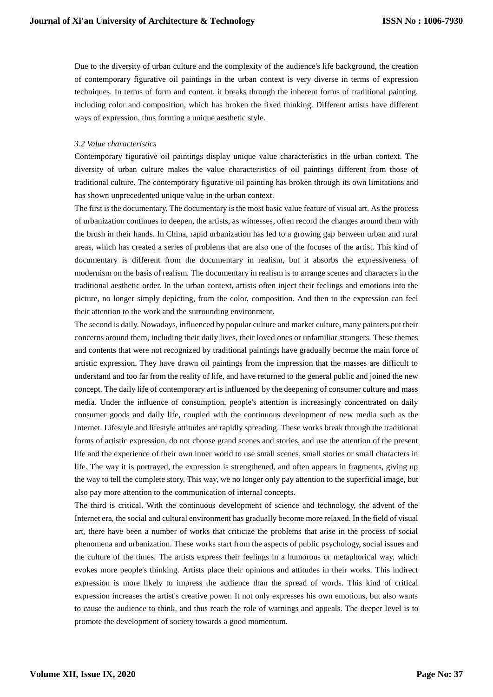Due to the diversity of urban culture and the complexity of the audience's life background, the creation of contemporary figurative oil paintings in the urban context is very diverse in terms of expression techniques. In terms of form and content, it breaks through the inherent forms of traditional painting, including color and composition, which has broken the fixed thinking. Different artists have different ways of expression, thus forming a unique aesthetic style.

# *3.2 Value characteristics*

Contemporary figurative oil paintings display unique value characteristics in the urban context. The diversity of urban culture makes the value characteristics of oil paintings different from those of traditional culture. The contemporary figurative oil painting has broken through its own limitations and has shown unprecedented unique value in the urban context.

The first is the documentary. The documentary is the most basic value feature of visual art. As the process of urbanization continues to deepen, the artists, as witnesses, often record the changes around them with the brush in their hands. In China, rapid urbanization has led to a growing gap between urban and rural areas, which has created a series of problems that are also one of the focuses of the artist. This kind of documentary is different from the documentary in realism, but it absorbs the expressiveness of modernism on the basis of realism. The documentary in realism is to arrange scenes and characters in the traditional aesthetic order. In the urban context, artists often inject their feelings and emotions into the picture, no longer simply depicting, from the color, composition. And then to the expression can feel their attention to the work and the surrounding environment.

The second is daily. Nowadays, influenced by popular culture and market culture, many painters put their concerns around them, including their daily lives, their loved ones or unfamiliar strangers. These themes and contents that were not recognized by traditional paintings have gradually become the main force of artistic expression. They have drawn oil paintings from the impression that the masses are difficult to understand and too far from the reality of life, and have returned to the general public and joined the new concept. The daily life of contemporary art is influenced by the deepening of consumer culture and mass media. Under the influence of consumption, people's attention is increasingly concentrated on daily consumer goods and daily life, coupled with the continuous development of new media such as the Internet. Lifestyle and lifestyle attitudes are rapidly spreading. These works break through the traditional forms of artistic expression, do not choose grand scenes and stories, and use the attention of the present life and the experience of their own inner world to use small scenes, small stories or small characters in life. The way it is portrayed, the expression is strengthened, and often appears in fragments, giving up the way to tell the complete story. This way, we no longer only pay attention to the superficial image, but also pay more attention to the communication of internal concepts.

The third is critical. With the continuous development of science and technology, the advent of the Internet era, the social and cultural environment has gradually become more relaxed. In the field of visual art, there have been a number of works that criticize the problems that arise in the process of social phenomena and urbanization. These works start from the aspects of public psychology, social issues and the culture of the times. The artists express their feelings in a humorous or metaphorical way, which evokes more people's thinking. Artists place their opinions and attitudes in their works. This indirect expression is more likely to impress the audience than the spread of words. This kind of critical expression increases the artist's creative power. It not only expresses his own emotions, but also wants to cause the audience to think, and thus reach the role of warnings and appeals. The deeper level is to promote the development of society towards a good momentum.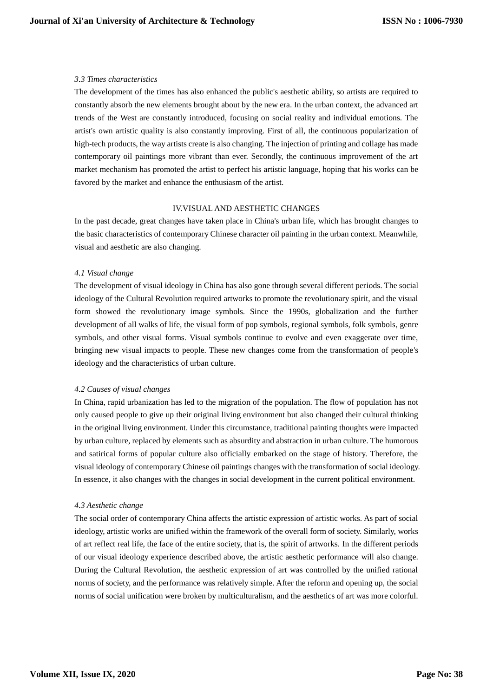# *3.3 Times characteristics*

The development of the times has also enhanced the public's aesthetic ability, so artists are required to constantly absorb the new elements brought about by the new era. In the urban context, the advanced art trends of the West are constantly introduced, focusing on social reality and individual emotions. The artist's own artistic quality is also constantly improving. First of all, the continuous popularization of high-tech products, the way artists create is also changing. The injection of printing and collage has made contemporary oil paintings more vibrant than ever. Secondly, the continuous improvement of the art market mechanism has promoted the artist to perfect his artistic language, hoping that his works can be favored by the market and enhance the enthusiasm of the artist.

# IV.VISUAL AND AESTHETIC CHANGES

In the past decade, great changes have taken place in China's urban life, which has brought changes to the basic characteristics of contemporary Chinese character oil painting in the urban context. Meanwhile, visual and aesthetic are also changing.

# *4.1 Visual change*

The development of visual ideology in China has also gone through several different periods. The social ideology of the Cultural Revolution required artworks to promote the revolutionary spirit, and the visual form showed the revolutionary image symbols. Since the 1990s, globalization and the further development of all walks of life, the visual form of pop symbols, regional symbols, folk symbols, genre symbols, and other visual forms. Visual symbols continue to evolve and even exaggerate over time, bringing new visual impacts to people. These new changes come from the transformation of people's ideology and the characteristics of urban culture.

### *4.2 Causes of visual changes*

In China, rapid urbanization has led to the migration of the population. The flow of population has not only caused people to give up their original living environment but also changed their cultural thinking in the original living environment. Under this circumstance, traditional painting thoughts were impacted by urban culture, replaced by elements such as absurdity and abstraction in urban culture. The humorous and satirical forms of popular culture also officially embarked on the stage of history. Therefore, the visual ideology of contemporary Chinese oil paintings changes with the transformation of social ideology. In essence, it also changes with the changes in social development in the current political environment.

### *4.3 Aesthetic change*

The social order of contemporary China affects the artistic expression of artistic works. As part of social ideology, artistic works are unified within the framework of the overall form of society. Similarly, works of art reflect real life, the face of the entire society, that is, the spirit of artworks. In the different periods of our visual ideology experience described above, the artistic aesthetic performance will also change. During the Cultural Revolution, the aesthetic expression of art was controlled by the unified rational norms of society, and the performance was relatively simple. After the reform and opening up, the social norms of social unification were broken by multiculturalism, and the aesthetics of art was more colorful.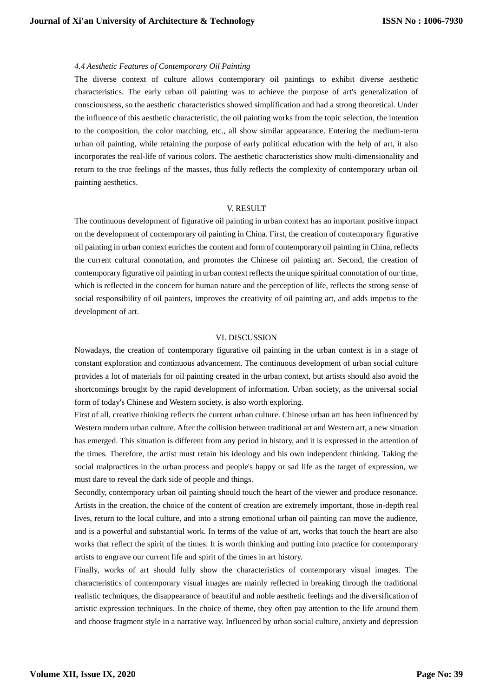# *4.4 Aesthetic Features of Contemporary Oil Painting*

The diverse context of culture allows contemporary oil paintings to exhibit diverse aesthetic characteristics. The early urban oil painting was to achieve the purpose of art's generalization of consciousness, so the aesthetic characteristics showed simplification and had a strong theoretical. Under the influence of this aesthetic characteristic, the oil painting works from the topic selection, the intention to the composition, the color matching, etc., all show similar appearance. Entering the medium-term urban oil painting, while retaining the purpose of early political education with the help of art, it also incorporates the real-life of various colors. The aesthetic characteristics show multi-dimensionality and return to the true feelings of the masses, thus fully reflects the complexity of contemporary urban oil painting aesthetics.

#### V. RESULT

The continuous development of figurative oil painting in urban context has an important positive impact on the development of contemporary oil painting in China. First, the creation of contemporary figurative oil painting in urban context enriches the content and form of contemporary oil painting in China, reflects the current cultural connotation, and promotes the Chinese oil painting art. Second, the creation of contemporary figurative oil painting in urban context reflects the unique spiritual connotation of our time, which is reflected in the concern for human nature and the perception of life, reflects the strong sense of social responsibility of oil painters, improves the creativity of oil painting art, and adds impetus to the development of art.

#### VI. DISCUSSION

Nowadays, the creation of contemporary figurative oil painting in the urban context is in a stage of constant exploration and continuous advancement. The continuous development of urban social culture provides a lot of materials for oil painting created in the urban context, but artists should also avoid the shortcomings brought by the rapid development of information. Urban society, as the universal social form of today's Chinese and Western society, is also worth exploring.

First of all, creative thinking reflects the current urban culture. Chinese urban art has been influenced by Western modern urban culture. After the collision between traditional art and Western art, a new situation has emerged. This situation is different from any period in history, and it is expressed in the attention of the times. Therefore, the artist must retain his ideology and his own independent thinking. Taking the social malpractices in the urban process and people's happy or sad life as the target of expression, we must dare to reveal the dark side of people and things.

Secondly, contemporary urban oil painting should touch the heart of the viewer and produce resonance. Artists in the creation, the choice of the content of creation are extremely important, those in-depth real lives, return to the local culture, and into a strong emotional urban oil painting can move the audience, and is a powerful and substantial work. In terms of the value of art, works that touch the heart are also works that reflect the spirit of the times. It is worth thinking and putting into practice for contemporary artists to engrave our current life and spirit of the times in art history.

Finally, works of art should fully show the characteristics of contemporary visual images. The characteristics of contemporary visual images are mainly reflected in breaking through the traditional realistic techniques, the disappearance of beautiful and noble aesthetic feelings and the diversification of artistic expression techniques. In the choice of theme, they often pay attention to the life around them and choose fragment style in a narrative way. Influenced by urban social culture, anxiety and depression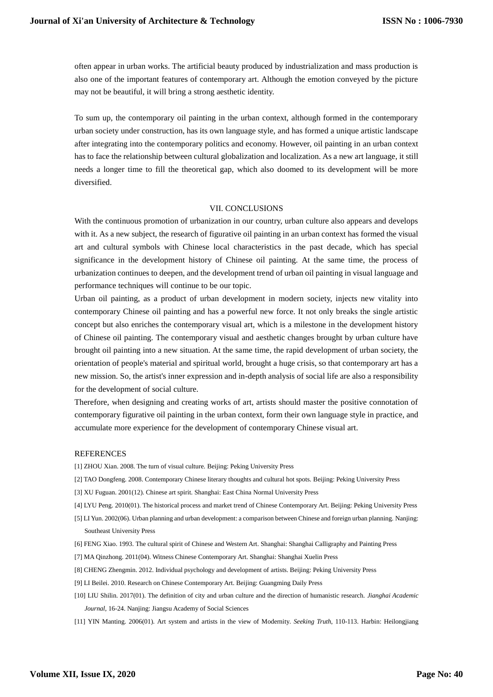often appear in urban works. The artificial beauty produced by industrialization and mass production is also one of the important features of contemporary art. Although the emotion conveyed by the picture may not be beautiful, it will bring a strong aesthetic identity.

To sum up, the contemporary oil painting in the urban context, although formed in the contemporary urban society under construction, has its own language style, and has formed a unique artistic landscape after integrating into the contemporary politics and economy. However, oil painting in an urban context has to face the relationship between cultural globalization and localization. As a new art language, it still needs a longer time to fill the theoretical gap, which also doomed to its development will be more diversified.

### VII. CONCLUSIONS

With the continuous promotion of urbanization in our country, urban culture also appears and develops with it. As a new subject, the research of figurative oil painting in an urban context has formed the visual art and cultural symbols with Chinese local characteristics in the past decade, which has special significance in the development history of Chinese oil painting. At the same time, the process of urbanization continues to deepen, and the development trend of urban oil painting in visual language and performance techniques will continue to be our topic.

Urban oil painting, as a product of urban development in modern society, injects new vitality into contemporary Chinese oil painting and has a powerful new force. It not only breaks the single artistic concept but also enriches the contemporary visual art, which is a milestone in the development history of Chinese oil painting. The contemporary visual and aesthetic changes brought by urban culture have brought oil painting into a new situation. At the same time, the rapid development of urban society, the orientation of people's material and spiritual world, brought a huge crisis, so that contemporary art has a new mission. So, the artist's inner expression and in-depth analysis of social life are also a responsibility for the development of social culture.

Therefore, when designing and creating works of art, artists should master the positive connotation of contemporary figurative oil painting in the urban context, form their own language style in practice, and accumulate more experience for the development of contemporary Chinese visual art.

#### **REFERENCES**

[1] ZHOU Xian. 2008. The turn of visual culture. Beijing: Peking University Press

- [2] TAO Dongfeng. 2008. Contemporary Chinese literary thoughts and cultural hot spots. Beijing: Peking University Press
- [3] XU Fuguan. 2001(12). Chinese art spirit. Shanghai: East China Normal University Press
- [4] LYU Peng. 2010(01). The historical process and market trend of Chinese Contemporary Art. Beijing: Peking University Press
- [5] LI Yun. 2002(06). Urban planning and urban development: a comparison between Chinese and foreign urban planning. Nanjing: Southeast University Press
- [6] FENG Xiao. 1993. The cultural spirit of Chinese and Western Art. Shanghai: Shanghai Calligraphy and Painting Press
- [7] MA Qinzhong. 2011(04). Witness Chinese Contemporary Art. Shanghai: Shanghai Xuelin Press
- [8] CHENG Zhengmin. 2012. Individual psychology and development of artists. Beijing: Peking University Press
- [9] LI Beilei. 2010. Research on Chinese Contemporary Art. Beijing: Guangming Daily Press
- [10] LIU Shilin. 2017(01). The definition of city and urban culture and the direction of humanistic research. *Jianghai Academic Journal*, 16-24. Nanjing: Jiangsu Academy of Social Sciences
- [11] YIN Manting. 2006(01). Art system and artists in the view of Modernity. *Seeking Truth*, 110-113. Harbin: Heilongjiang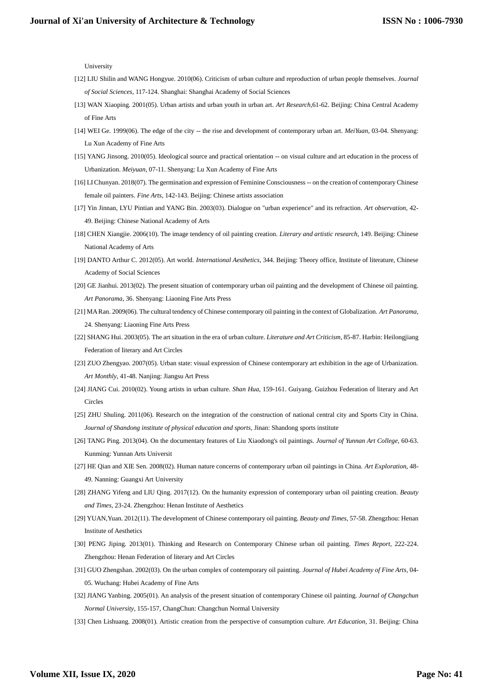University

- [12] LIU Shilin and WANG Hongyue. 2010(06). Criticism of urban culture and reproduction of urban people themselves. *Journal of Social Sciences*, 117-124. Shanghai: Shanghai Academy of Social Sciences
- [13] WAN Xiaoping. 2001(05). Urban artists and urban youth in urban art. *Art Research*,61-62. Beijing: China Central Academy of Fine Arts
- [14] WEI Ge. 1999(06). The edge of the city -- the rise and development of contemporary urban art. *MeiYuan*, 03-04. Shenyang: Lu Xun Academy of Fine Arts
- [15] YANG Jinsong. 2010(05). Ideological source and practical orientation -- on visual culture and art education in the process of Urbanization. *Meiyuan*, 07-11. Shenyang: Lu Xun Academy of Fine Arts
- [16] LI Chunyan. 2018(07). The germination and expression of Feminine Consciousness -- on the creation of contemporary Chinese female oil painters. *Fine Arts*, 142-143. Beijing: Chinese artists association
- [17] Yin Jinnan, LYU Pintian and YANG Bin. 2003(03). Dialogue on "urban experience" and its refraction. *Art observation*, 42- 49. Beijing: Chinese National Academy of Arts
- [18] CHEN Xiangjie. 2006(10). The image tendency of oil painting creation. *Literary and artistic research*, 149. Beijing: Chinese National Academy of Arts
- [19] DANTO Arthur C. 2012(05). Art world. *International Aesthetics*, 344. Beijing: Theory office, Institute of literature, Chinese Academy of Social Sciences
- [20] GE Jianhui. 2013(02). The present situation of contemporary urban oil painting and the development of Chinese oil painting. *Art Panorama*, 36. Shenyang: Liaoning Fine Arts Press
- [21] MA Ran. 2009(06). The cultural tendency of Chinese contemporary oil painting in the context of Globalization. *Art Panorama*, 24. Shenyang: Liaoning Fine Arts Press
- [22] SHANG Hui. 2003(05). The art situation in the era of urban culture. *Literature and Art Criticism*, 85-87. Harbin: Heilongjiang Federation of literary and Art Circles
- [23] ZUO Zhengyao. 2007(05). Urban state: visual expression of Chinese contemporary art exhibition in the age of Urbanization. *Art Monthly*, 41-48. Nanjing: Jiangsu Art Press
- [24] JIANG Cui. 2010(02). Young artists in urban culture. *Shan Hua*, 159-161. Guiyang. Guizhou Federation of literary and Art Circles
- [25] ZHU Shuling. 2011(06). Research on the integration of the construction of national central city and Sports City in China. *Journal of Shandong institute of physical education and sports*, Jinan: Shandong sports institute
- [26] TANG Ping. 2013(04). On the documentary features of Liu Xiaodong's oil paintings. *Journal of Yunnan Art College*, 60-63. Kunming: Yunnan Arts Universit
- [27] HE Qian and XIE Sen. 2008(02). Human nature concerns of contemporary urban oil paintings in China. *Art Exploration*, 48- 49. Nanning: Guangxi Art University
- [28] ZHANG Yifeng and LIU Qing. 2017(12). On the humanity expression of contemporary urban oil painting creation. *Beauty and Times*, 23-24. Zhengzhou: Henan Institute of Aesthetics
- [29] YUAN,Yuan. 2012(11). The development of Chinese contemporary oil painting. *Beauty and Times*, 57-58. Zhengzhou: Henan Institute of Aesthetics
- [30] PENG Jiping. 2013(01). Thinking and Research on Contemporary Chinese urban oil painting. *Times Report*, 222-224. Zhengzhou: Henan Federation of literary and Art Circles
- [31] GUO Zhengshan. 2002(03). On the urban complex of contemporary oil painting. *Journal of Hubei Academy of Fine Arts*, 04- 05. Wuchang: Hubei Academy of Fine Arts
- [32] JIANG Yanbing. 2005(01). An analysis of the present situation of contemporary Chinese oil painting. *Journal of Changchun Normal University*, 155-157, ChangChun: Changchun Normal University
- [33] Chen Lishuang. 2008(01). Artistic creation from the perspective of consumption culture. *Art Education*, 31. Beijing: China